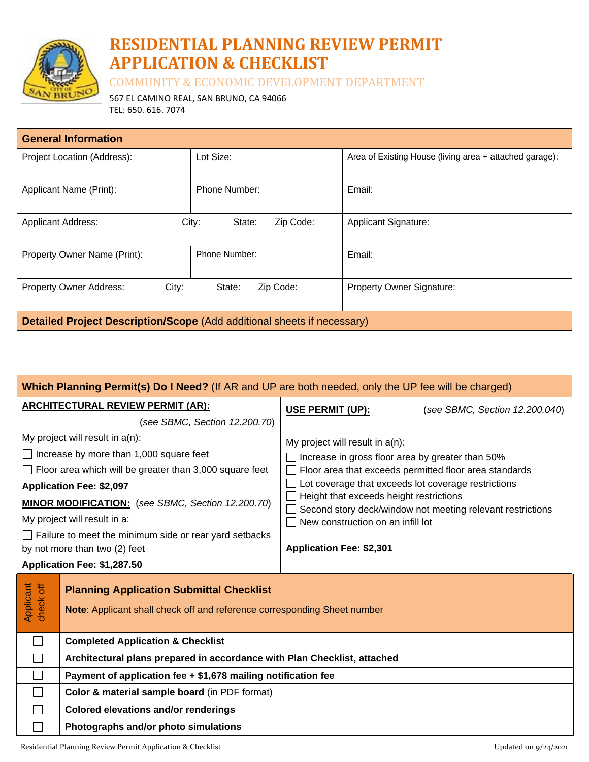

# **RESIDENTIAL PLANNING REVIEW PERMIT APPLICATION & CHECKLIST**

COMMUNITY & ECONOMIC DEVELOPMENT DEPARTMENT

567 EL CAMINO REAL, SAN BRUNO, CA 94066 TEL: 650. 616. 7074

| <b>General Information</b>                                                                                                                            |                                                                          |                                                                                                                                                  |                                                                                                                                                              |  |
|-------------------------------------------------------------------------------------------------------------------------------------------------------|--------------------------------------------------------------------------|--------------------------------------------------------------------------------------------------------------------------------------------------|--------------------------------------------------------------------------------------------------------------------------------------------------------------|--|
| Project Location (Address):                                                                                                                           | Lot Size:                                                                |                                                                                                                                                  | Area of Existing House (living area + attached garage):                                                                                                      |  |
|                                                                                                                                                       |                                                                          |                                                                                                                                                  |                                                                                                                                                              |  |
| Applicant Name (Print):                                                                                                                               | Phone Number:                                                            |                                                                                                                                                  | Email:                                                                                                                                                       |  |
| City:<br>Zip Code:<br><b>Applicant Address:</b><br>State:                                                                                             |                                                                          | Applicant Signature:                                                                                                                             |                                                                                                                                                              |  |
| Property Owner Name (Print):                                                                                                                          | Phone Number:                                                            |                                                                                                                                                  | Email:                                                                                                                                                       |  |
| Property Owner Address:                                                                                                                               | City:<br>State:<br>Zip Code:                                             |                                                                                                                                                  | Property Owner Signature:                                                                                                                                    |  |
| Detailed Project Description/Scope (Add additional sheets if necessary)                                                                               |                                                                          |                                                                                                                                                  |                                                                                                                                                              |  |
|                                                                                                                                                       |                                                                          |                                                                                                                                                  |                                                                                                                                                              |  |
| Which Planning Permit(s) Do I Need? (If AR and UP are both needed, only the UP fee will be charged)                                                   |                                                                          |                                                                                                                                                  |                                                                                                                                                              |  |
| <b>ARCHITECTURAL REVIEW PERMIT (AR):</b><br>USE PERMIT (UP):                                                                                          |                                                                          | (see SBMC, Section 12.200.040)                                                                                                                   |                                                                                                                                                              |  |
|                                                                                                                                                       | (see SBMC, Section 12.200.70)                                            |                                                                                                                                                  |                                                                                                                                                              |  |
| My project will result in $a(n)$ :                                                                                                                    |                                                                          | My project will result in $a(n)$ :<br>Increase in gross floor area by greater than 50%<br>Floor area that exceeds permitted floor area standards |                                                                                                                                                              |  |
| $\Box$ Increase by more than 1,000 square feet                                                                                                        |                                                                          |                                                                                                                                                  |                                                                                                                                                              |  |
| $\Box$ Floor area which will be greater than 3,000 square feet                                                                                        |                                                                          |                                                                                                                                                  |                                                                                                                                                              |  |
| <b>Application Fee: \$2,097</b>                                                                                                                       |                                                                          |                                                                                                                                                  | Lot coverage that exceeds lot coverage restrictions<br>Height that exceeds height restrictions<br>Second story deck/window not meeting relevant restrictions |  |
| MINOR MODIFICATION: (see SBMC, Section 12.200.70)                                                                                                     |                                                                          |                                                                                                                                                  |                                                                                                                                                              |  |
| My project will result in a:                                                                                                                          |                                                                          | New construction on an infill lot<br><b>Application Fee: \$2,301</b>                                                                             |                                                                                                                                                              |  |
| $\Box$ Failure to meet the minimum side or rear yard setbacks<br>by not more than two (2) feet                                                        |                                                                          |                                                                                                                                                  |                                                                                                                                                              |  |
| Application Fee: \$1,287.50                                                                                                                           |                                                                          |                                                                                                                                                  |                                                                                                                                                              |  |
| Applicant<br>check off<br><b>Planning Application Submittal Checklist</b><br>Note: Applicant shall check off and reference corresponding Sheet number |                                                                          |                                                                                                                                                  |                                                                                                                                                              |  |
| <b>Completed Application &amp; Checklist</b><br>$\Box$                                                                                                |                                                                          |                                                                                                                                                  |                                                                                                                                                              |  |
|                                                                                                                                                       | Architectural plans prepared in accordance with Plan Checklist, attached |                                                                                                                                                  |                                                                                                                                                              |  |
| Payment of application fee + \$1,678 mailing notification fee<br>$\blacksquare$                                                                       |                                                                          |                                                                                                                                                  |                                                                                                                                                              |  |
|                                                                                                                                                       | Color & material sample board (in PDF format)                            |                                                                                                                                                  |                                                                                                                                                              |  |
|                                                                                                                                                       | <b>Colored elevations and/or renderings</b>                              |                                                                                                                                                  |                                                                                                                                                              |  |
| Photographs and/or photo simulations                                                                                                                  |                                                                          |                                                                                                                                                  |                                                                                                                                                              |  |
| Residential Planning Review Permit Application & Checklist                                                                                            |                                                                          |                                                                                                                                                  | Updated on 9/24/2021                                                                                                                                         |  |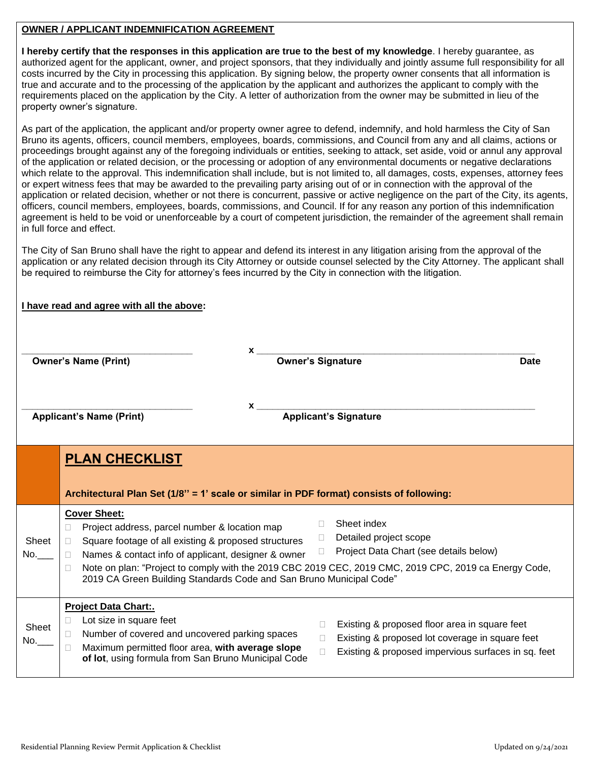# **OWNER / APPLICANT INDEMNIFICATION AGREEMENT**

**I hereby certify that the responses in this application are true to the best of my knowledge**. I hereby guarantee, as authorized agent for the applicant, owner, and project sponsors, that they individually and jointly assume full responsibility for all costs incurred by the City in processing this application. By signing below, the property owner consents that all information is true and accurate and to the processing of the application by the applicant and authorizes the applicant to comply with the requirements placed on the application by the City. A letter of authorization from the owner may be submitted in lieu of the property owner's signature.

As part of the application, the applicant and/or property owner agree to defend, indemnify, and hold harmless the City of San Bruno its agents, officers, council members, employees, boards, commissions, and Council from any and all claims, actions or proceedings brought against any of the foregoing individuals or entities, seeking to attack, set aside, void or annul any approval of the application or related decision, or the processing or adoption of any environmental documents or negative declarations which relate to the approval. This indemnification shall include, but is not limited to, all damages, costs, expenses, attorney fees or expert witness fees that may be awarded to the prevailing party arising out of or in connection with the approval of the application or related decision, whether or not there is concurrent, passive or active negligence on the part of the City, its agents, officers, council members, employees, boards, commissions, and Council. If for any reason any portion of this indemnification agreement is held to be void or unenforceable by a court of competent jurisdiction, the remainder of the agreement shall remain in full force and effect.

The City of San Bruno shall have the right to appear and defend its interest in any litigation arising from the approval of the application or any related decision through its City Attorney or outside counsel selected by the City Attorney. The applicant shall be required to reimburse the City for attorney's fees incurred by the City in connection with the litigation.

# **I have read and agree with all the above:**

|                | <b>X</b><br><b>Owner's Name (Print)</b>                                                                                                                                                                                                                                   | Owner's Signature<br><b>Date</b>                                                                                                                                                               |
|----------------|---------------------------------------------------------------------------------------------------------------------------------------------------------------------------------------------------------------------------------------------------------------------------|------------------------------------------------------------------------------------------------------------------------------------------------------------------------------------------------|
|                | <b>Applicant's Name (Print)</b>                                                                                                                                                                                                                                           | <b>Applicant's Signature</b>                                                                                                                                                                   |
|                | <b>PLAN CHECKLIST</b><br>Architectural Plan Set (1/8" = 1' scale or similar in PDF format) consists of following:                                                                                                                                                         |                                                                                                                                                                                                |
| Sheet<br>No.   | <b>Cover Sheet:</b><br>Project address, parcel number & location map<br>Ц<br>Square footage of all existing & proposed structures<br>$\Box$<br>Names & contact info of applicant, designer & owner<br>2019 CA Green Building Standards Code and San Bruno Municipal Code" | Sheet index<br>Detailed project scope<br>П.<br>Project Data Chart (see details below)<br>Note on plan: "Project to comply with the 2019 CBC 2019 CEC, 2019 CMC, 2019 CPC, 2019 ca Energy Code, |
| Sheet<br>No. I | <b>Project Data Chart:.</b><br>Lot size in square feet<br>Number of covered and uncovered parking spaces<br>Maximum permitted floor area, with average slope<br>of lot, using formula from San Bruno Municipal Code                                                       | Existing & proposed floor area in square feet<br>Existing & proposed lot coverage in square feet<br>Existing & proposed impervious surfaces in sq. feet<br>$\Box$                              |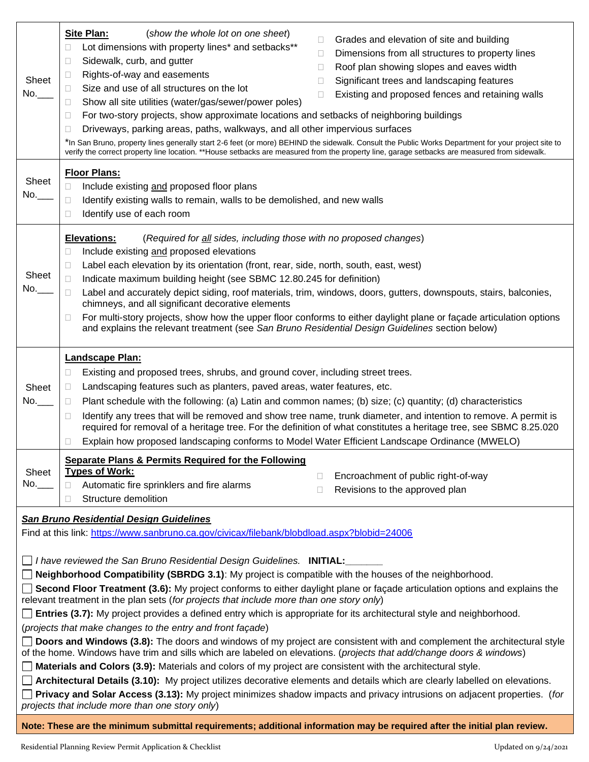| Sheet<br>No.__                                                                                                                                | <b>Site Plan:</b><br>(show the whole lot on one sheet)<br>Grades and elevation of site and building<br>O<br>Lot dimensions with property lines* and setbacks**<br>$\Box$<br>Dimensions from all structures to property lines<br>$\Box$<br>Sidewalk, curb, and gutter<br>$\Box$<br>Roof plan showing slopes and eaves width<br>$\Box$<br>Rights-of-way and easements<br>$\Box$<br>Significant trees and landscaping features<br>П<br>Size and use of all structures on the lot<br>$\Box$<br>Existing and proposed fences and retaining walls<br>П<br>Show all site utilities (water/gas/sewer/power poles)<br>Ш<br>For two-story projects, show approximate locations and setbacks of neighboring buildings<br>$\Box$<br>Driveways, parking areas, paths, walkways, and all other impervious surfaces<br>$\Box$<br>*In San Bruno, property lines generally start 2-6 feet (or more) BEHIND the sidewalk. Consult the Public Works Department for your project site to<br>verify the correct property line location. **House setbacks are measured from the property line, garage setbacks are measured from sidewalk. |  |
|-----------------------------------------------------------------------------------------------------------------------------------------------|----------------------------------------------------------------------------------------------------------------------------------------------------------------------------------------------------------------------------------------------------------------------------------------------------------------------------------------------------------------------------------------------------------------------------------------------------------------------------------------------------------------------------------------------------------------------------------------------------------------------------------------------------------------------------------------------------------------------------------------------------------------------------------------------------------------------------------------------------------------------------------------------------------------------------------------------------------------------------------------------------------------------------------------------------------------------------------------------------------------------|--|
| Sheet<br>No.                                                                                                                                  | <b>Floor Plans:</b><br>Include existing and proposed floor plans<br>□<br>Identify existing walls to remain, walls to be demolished, and new walls<br>⊔<br>Identify use of each room<br>$\Box$                                                                                                                                                                                                                                                                                                                                                                                                                                                                                                                                                                                                                                                                                                                                                                                                                                                                                                                        |  |
| Sheet<br>No.                                                                                                                                  | <b>Elevations:</b><br>(Required for all sides, including those with no proposed changes)<br>Include existing and proposed elevations<br>□<br>Label each elevation by its orientation (front, rear, side, north, south, east, west)<br>$\Box$<br>Indicate maximum building height (see SBMC 12.80.245 for definition)<br>П<br>Label and accurately depict siding, roof materials, trim, windows, doors, gutters, downspouts, stairs, balconies,<br>chimneys, and all significant decorative elements<br>For multi-story projects, show how the upper floor conforms to either daylight plane or façade articulation options<br>$\Box$<br>and explains the relevant treatment (see San Bruno Residential Design Guidelines section below)                                                                                                                                                                                                                                                                                                                                                                              |  |
| Sheet<br>No.___                                                                                                                               | Landscape Plan:<br>Existing and proposed trees, shrubs, and ground cover, including street trees.<br>$\Box$<br>Landscaping features such as planters, paved areas, water features, etc.<br>$\Box$<br>Plant schedule with the following: (a) Latin and common names; (b) size; (c) quantity; (d) characteristics<br>$\Box$<br>Identify any trees that will be removed and show tree name, trunk diameter, and intention to remove. A permit is<br>□<br>required for removal of a heritage tree. For the definition of what constitutes a heritage tree, see SBMC 8.25.020<br>Explain how proposed landscaping conforms to Model Water Efficient Landscape Ordinance (MWELO)<br>□                                                                                                                                                                                                                                                                                                                                                                                                                                      |  |
| Sheet<br>No.                                                                                                                                  | Separate Plans & Permits Required for the Following<br><b>Types of Work:</b><br>Encroachment of public right-of-way<br>Ω.<br>Automatic fire sprinklers and fire alarms<br>$\Box$<br>Revisions to the approved plan<br>u<br>Structure demolition<br>П                                                                                                                                                                                                                                                                                                                                                                                                                                                                                                                                                                                                                                                                                                                                                                                                                                                                 |  |
| <b>San Bruno Residential Design Guidelines</b><br>Find at this link: https://www.sanbruno.ca.gov/civicax/filebank/blobdload.aspx?blobid=24006 |                                                                                                                                                                                                                                                                                                                                                                                                                                                                                                                                                                                                                                                                                                                                                                                                                                                                                                                                                                                                                                                                                                                      |  |
|                                                                                                                                               | □ I have reviewed the San Bruno Residential Design Guidelines. INITIAL:<br>Neighborhood Compatibility (SBRDG 3.1): My project is compatible with the houses of the neighborhood.<br>Second Floor Treatment (3.6): My project conforms to either daylight plane or façade articulation options and explains the<br>relevant treatment in the plan sets (for projects that include more than one story only)<br><b>Entries (3.7):</b> My project provides a defined entry which is appropriate for its architectural style and neighborhood.<br>(projects that make changes to the entry and front façade)                                                                                                                                                                                                                                                                                                                                                                                                                                                                                                             |  |
|                                                                                                                                               | Doors and Windows (3.8): The doors and windows of my project are consistent with and complement the architectural style<br>of the home. Windows have trim and sills which are labeled on elevations. (projects that add/change doors & windows)<br>Materials and Colors (3.9): Materials and colors of my project are consistent with the architectural style.<br><b>Architectural Details (3.10):</b> My project utilizes decorative elements and details which are clearly labelled on elevations.<br>Privacy and Solar Access (3.13): My project minimizes shadow impacts and privacy intrusions on adjacent properties. (for<br>projects that include more than one story only)                                                                                                                                                                                                                                                                                                                                                                                                                                  |  |
|                                                                                                                                               | Note: These are the minimum submittal requirements; additional information may be required after the initial plan review.                                                                                                                                                                                                                                                                                                                                                                                                                                                                                                                                                                                                                                                                                                                                                                                                                                                                                                                                                                                            |  |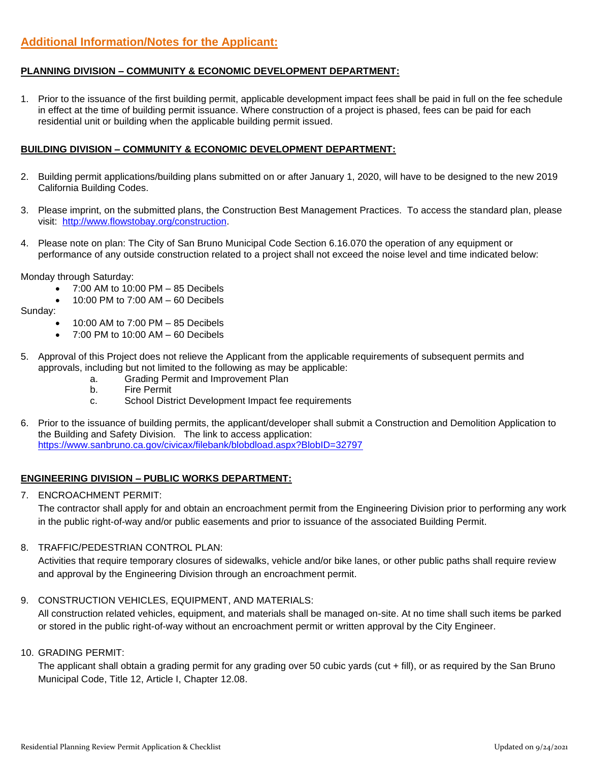# **PLANNING DIVISION – COMMUNITY & ECONOMIC DEVELOPMENT DEPARTMENT:**

1. Prior to the issuance of the first building permit, applicable development impact fees shall be paid in full on the fee schedule in effect at the time of building permit issuance. Where construction of a project is phased, fees can be paid for each residential unit or building when the applicable building permit issued.

# **BUILDING DIVISION – COMMUNITY & ECONOMIC DEVELOPMENT DEPARTMENT:**

- 2. Building permit applications/building plans submitted on or after January 1, 2020, will have to be designed to the new 2019 California Building Codes.
- 3. Please imprint, on the submitted plans, the Construction Best Management Practices. To access the standard plan, please visit: [http://www.flowstobay.org/construction.](http://www.flowstobay.org/construction)
- 4. Please note on plan: The City of San Bruno Municipal Code Section 6.16.070 the operation of any equipment or performance of any outside construction related to a project shall not exceed the noise level and time indicated below:

Monday through Saturday:

- 7:00 AM to 10:00 PM 85 Decibels
- 10:00 PM to 7:00 AM 60 Decibels

Sunday:

- 10:00 AM to 7:00 PM 85 Decibels
- 7:00 PM to 10:00 AM 60 Decibels
- 5. Approval of this Project does not relieve the Applicant from the applicable requirements of subsequent permits and approvals, including but not limited to the following as may be applicable:
	- a. Grading Permit and Improvement Plan
	- b. Fire Permit
	- c. School District Development Impact fee requirements
- 6. Prior to the issuance of building permits, the applicant/developer shall submit a Construction and Demolition Application to the Building and Safety Division. The link to access application: <https://www.sanbruno.ca.gov/civicax/filebank/blobdload.aspx?BlobID=32797>

#### **ENGINEERING DIVISION – PUBLIC WORKS DEPARTMENT:**

7. ENCROACHMENT PERMIT:

The contractor shall apply for and obtain an encroachment permit from the Engineering Division prior to performing any work in the public right-of-way and/or public easements and prior to issuance of the associated Building Permit.

#### 8. TRAFFIC/PEDESTRIAN CONTROL PLAN:

Activities that require temporary closures of sidewalks, vehicle and/or bike lanes, or other public paths shall require review and approval by the Engineering Division through an encroachment permit.

#### 9. CONSTRUCTION VEHICLES, EQUIPMENT, AND MATERIALS:

All construction related vehicles, equipment, and materials shall be managed on-site. At no time shall such items be parked or stored in the public right-of-way without an encroachment permit or written approval by the City Engineer.

#### 10. GRADING PERMIT:

The applicant shall obtain a grading permit for any grading over 50 cubic yards (cut + fill), or as required by the San Bruno Municipal Code, Title 12, Article I, Chapter 12.08.